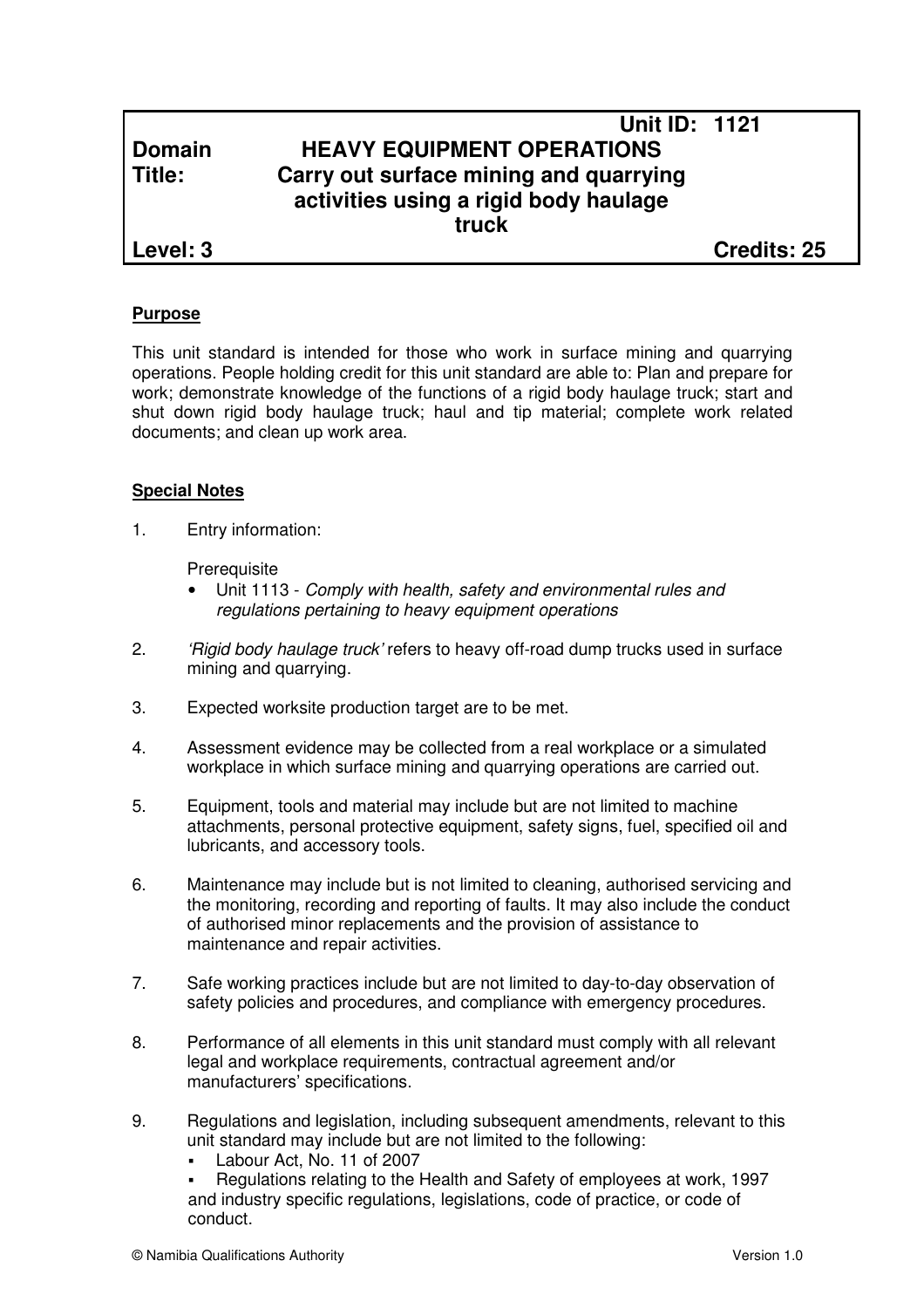# **Unit ID: 1121 Domain HEAVY EQUIPMENT OPERATIONS Title: Carry out surface mining and quarrying activities using a rigid body haulage truck**

**Level: 3 Credits: 25**

## **Purpose**

This unit standard is intended for those who work in surface mining and quarrying operations. People holding credit for this unit standard are able to: Plan and prepare for work; demonstrate knowledge of the functions of a rigid body haulage truck; start and shut down rigid body haulage truck; haul and tip material; complete work related documents; and clean up work area.

## **Special Notes**

1. Entry information:

**Prerequisite** 

- Unit 1113 Comply with health, safety and environmental rules and regulations pertaining to heavy equipment operations
- 2. 'Higid body haulage truck' refers to heavy off-road dump trucks used in surface mining and quarrying.
- 3. Expected worksite production target are to be met.
- 4. Assessment evidence may be collected from a real workplace or a simulated workplace in which surface mining and quarrying operations are carried out.
- 5. Equipment, tools and material may include but are not limited to machine attachments, personal protective equipment, safety signs, fuel, specified oil and lubricants, and accessory tools.
- 6. Maintenance may include but is not limited to cleaning, authorised servicing and the monitoring, recording and reporting of faults. It may also include the conduct of authorised minor replacements and the provision of assistance to maintenance and repair activities.
- 7. Safe working practices include but are not limited to day-to-day observation of safety policies and procedures, and compliance with emergency procedures.
- 8. Performance of all elements in this unit standard must comply with all relevant legal and workplace requirements, contractual agreement and/or manufacturers' specifications.
- 9. Regulations and legislation, including subsequent amendments, relevant to this unit standard may include but are not limited to the following:
	- Labour Act, No. 11 of 2007

 Regulations relating to the Health and Safety of employees at work, 1997 and industry specific regulations, legislations, code of practice, or code of conduct.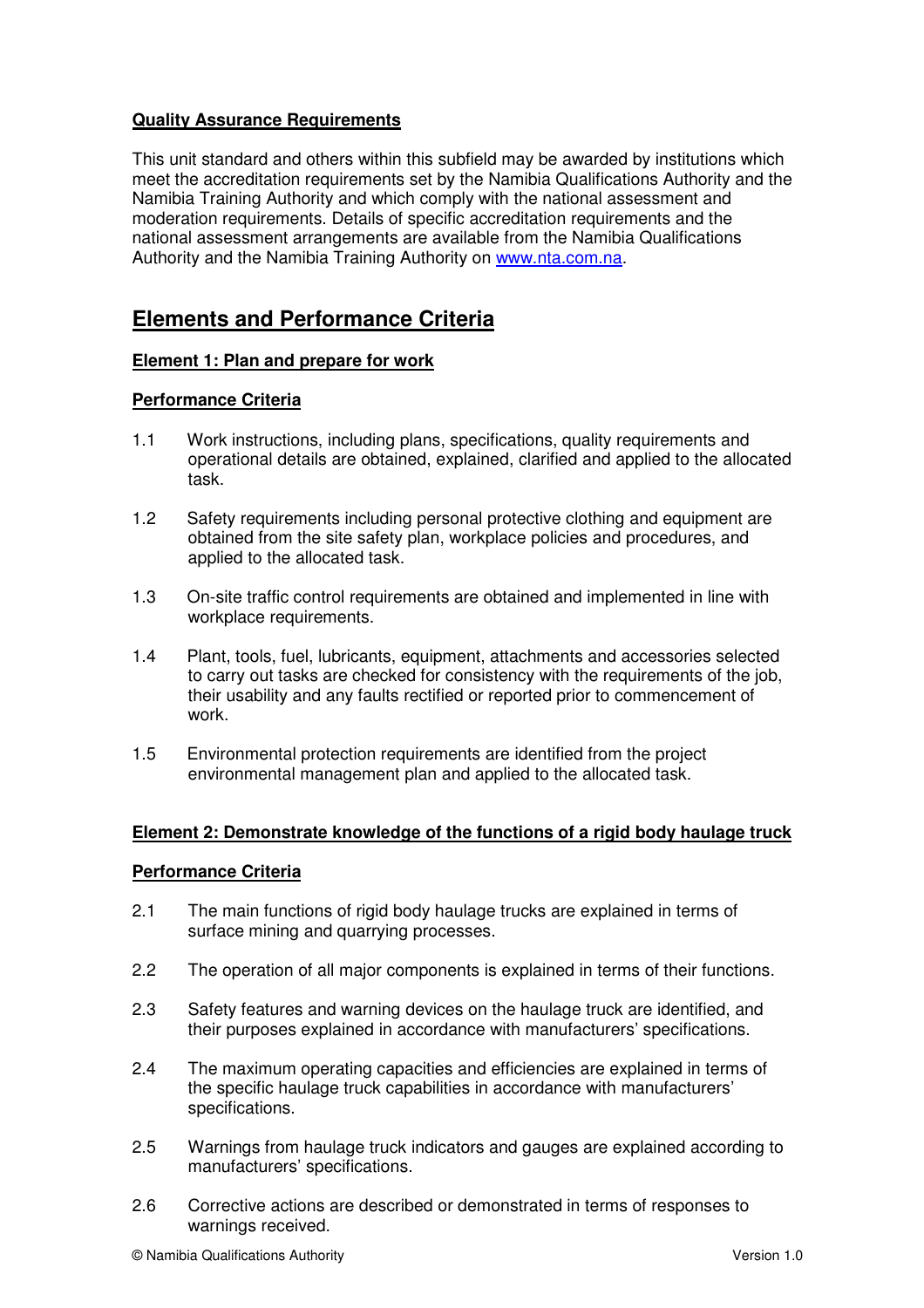## **Quality Assurance Requirements**

This unit standard and others within this subfield may be awarded by institutions which meet the accreditation requirements set by the Namibia Qualifications Authority and the Namibia Training Authority and which comply with the national assessment and moderation requirements. Details of specific accreditation requirements and the national assessment arrangements are available from the Namibia Qualifications Authority and the Namibia Training Authority on www.nta.com.na.

# **Elements and Performance Criteria**

## **Element 1: Plan and prepare for work**

## **Performance Criteria**

- 1.1 Work instructions, including plans, specifications, quality requirements and operational details are obtained, explained, clarified and applied to the allocated task.
- 1.2 Safety requirements including personal protective clothing and equipment are obtained from the site safety plan, workplace policies and procedures, and applied to the allocated task.
- 1.3 On-site traffic control requirements are obtained and implemented in line with workplace requirements.
- 1.4 Plant, tools, fuel, lubricants, equipment, attachments and accessories selected to carry out tasks are checked for consistency with the requirements of the job, their usability and any faults rectified or reported prior to commencement of work.
- 1.5 Environmental protection requirements are identified from the project environmental management plan and applied to the allocated task.

#### **Element 2: Demonstrate knowledge of the functions of a rigid body haulage truck**

## **Performance Criteria**

- 2.1 The main functions of rigid body haulage trucks are explained in terms of surface mining and quarrying processes.
- 2.2 The operation of all major components is explained in terms of their functions.
- 2.3 Safety features and warning devices on the haulage truck are identified, and their purposes explained in accordance with manufacturers' specifications.
- 2.4 The maximum operating capacities and efficiencies are explained in terms of the specific haulage truck capabilities in accordance with manufacturers' specifications.
- 2.5 Warnings from haulage truck indicators and gauges are explained according to manufacturers' specifications.
- 2.6 Corrective actions are described or demonstrated in terms of responses to warnings received.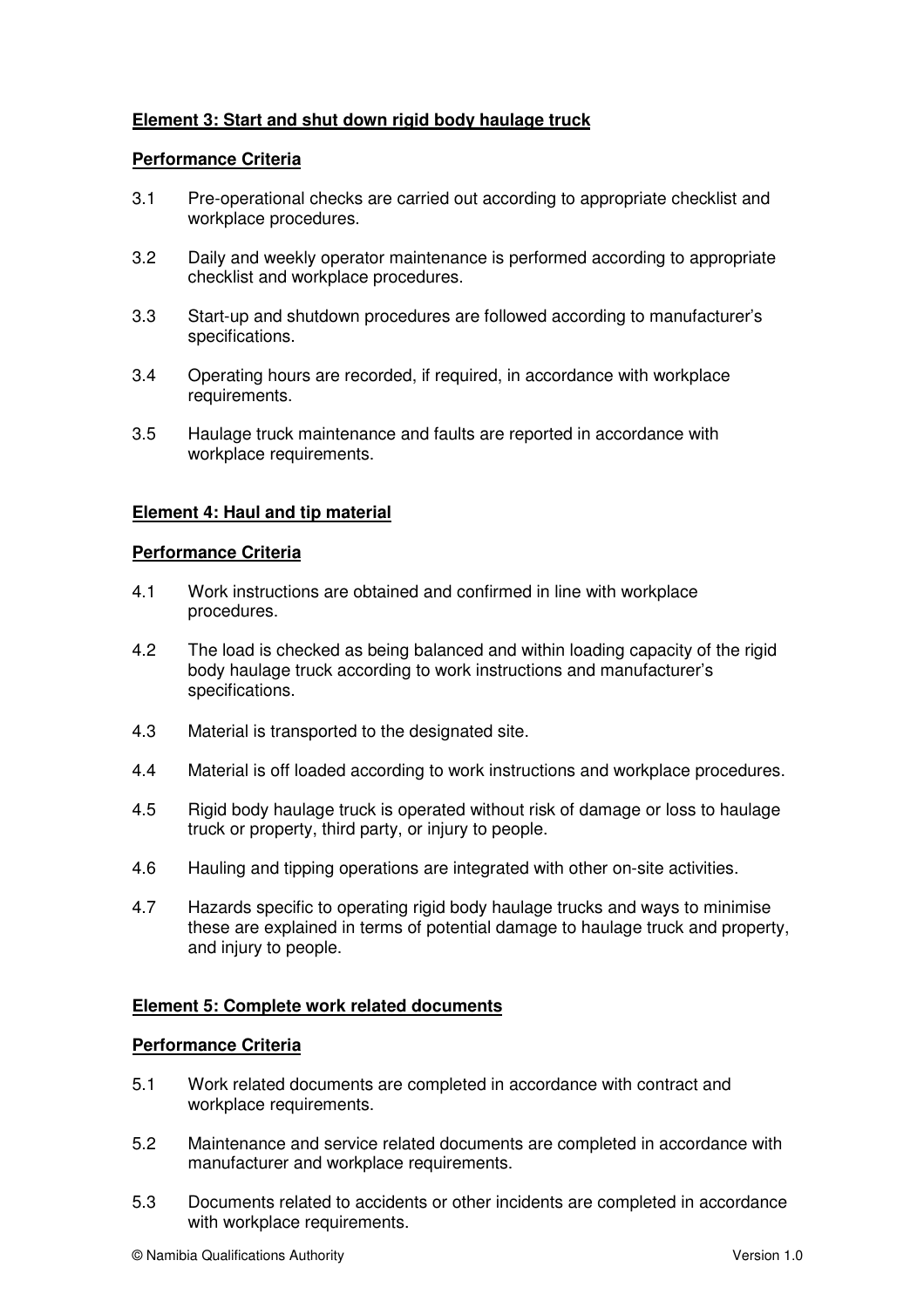## **Element 3: Start and shut down rigid body haulage truck**

## **Performance Criteria**

- 3.1 Pre-operational checks are carried out according to appropriate checklist and workplace procedures.
- 3.2 Daily and weekly operator maintenance is performed according to appropriate checklist and workplace procedures.
- 3.3 Start-up and shutdown procedures are followed according to manufacturer's specifications.
- 3.4 Operating hours are recorded, if required, in accordance with workplace requirements.
- 3.5 Haulage truck maintenance and faults are reported in accordance with workplace requirements.

## **Element 4: Haul and tip material**

## **Performance Criteria**

- 4.1 Work instructions are obtained and confirmed in line with workplace procedures.
- 4.2 The load is checked as being balanced and within loading capacity of the rigid body haulage truck according to work instructions and manufacturer's specifications.
- 4.3 Material is transported to the designated site.
- 4.4 Material is off loaded according to work instructions and workplace procedures.
- 4.5 Rigid body haulage truck is operated without risk of damage or loss to haulage truck or property, third party, or injury to people.
- 4.6 Hauling and tipping operations are integrated with other on-site activities.
- 4.7 Hazards specific to operating rigid body haulage trucks and ways to minimise these are explained in terms of potential damage to haulage truck and property, and injury to people.

## **Element 5: Complete work related documents**

#### **Performance Criteria**

- 5.1 Work related documents are completed in accordance with contract and workplace requirements.
- 5.2 Maintenance and service related documents are completed in accordance with manufacturer and workplace requirements.
- 5.3 Documents related to accidents or other incidents are completed in accordance with workplace requirements.